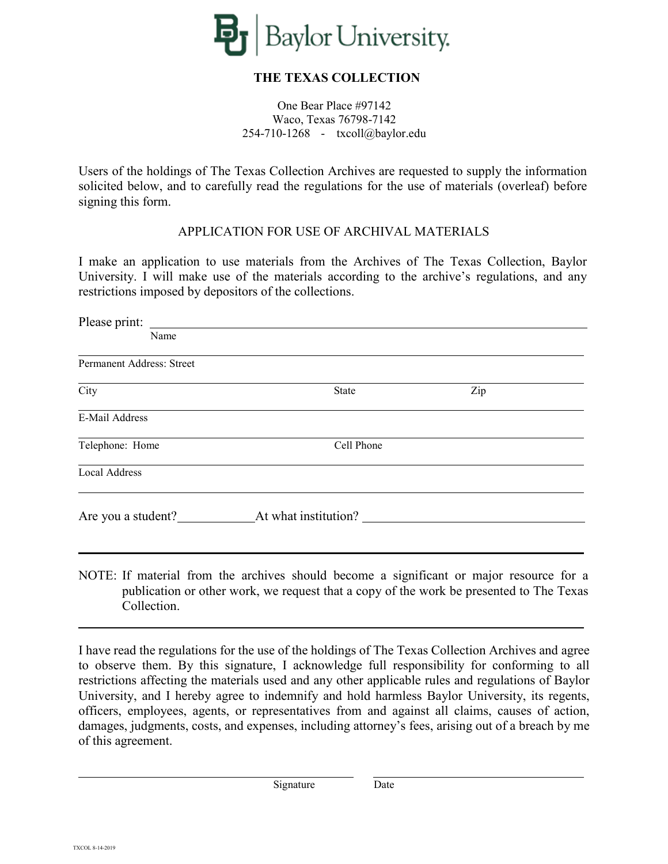

## **THE TEXAS COLLECTION**

One Bear Place #97142 Waco, Texas 76798-7142 254-710-1268 - txcoll@baylor.edu

Users of the holdings of The Texas Collection Archives are requested to supply the information solicited below, and to carefully read the regulations for the use of materials (overleaf) before signing this form.

## APPLICATION FOR USE OF ARCHIVAL MATERIALS

I make an application to use materials from the Archives of The Texas Collection, Baylor University. I will make use of the materials according to the archive's regulations, and any restrictions imposed by depositors of the collections.

| Please print:             |                      |     |  |  |  |
|---------------------------|----------------------|-----|--|--|--|
| Name                      |                      |     |  |  |  |
| Permanent Address: Street |                      |     |  |  |  |
| City                      | <b>State</b>         | Zip |  |  |  |
| E-Mail Address            |                      |     |  |  |  |
| Telephone: Home           | Cell Phone           |     |  |  |  |
| <b>Local Address</b>      |                      |     |  |  |  |
| Are you a student?        | At what institution? |     |  |  |  |
|                           |                      |     |  |  |  |
|                           |                      |     |  |  |  |

NOTE: If material from the archives should become a significant or major resource for a publication or other work, we request that a copy of the work be presented to The Texas Collection.

I have read the regulations for the use of the holdings of The Texas Collection Archives and agree to observe them. By this signature, I acknowledge full responsibility for conforming to all restrictions affecting the materials used and any other applicable rules and regulations of Baylor University, and I hereby agree to indemnify and hold harmless Baylor University, its regents, officers, employees, agents, or representatives from and against all claims, causes of action, damages, judgments, costs, and expenses, including attorney's fees, arising out of a breach by me of this agreement.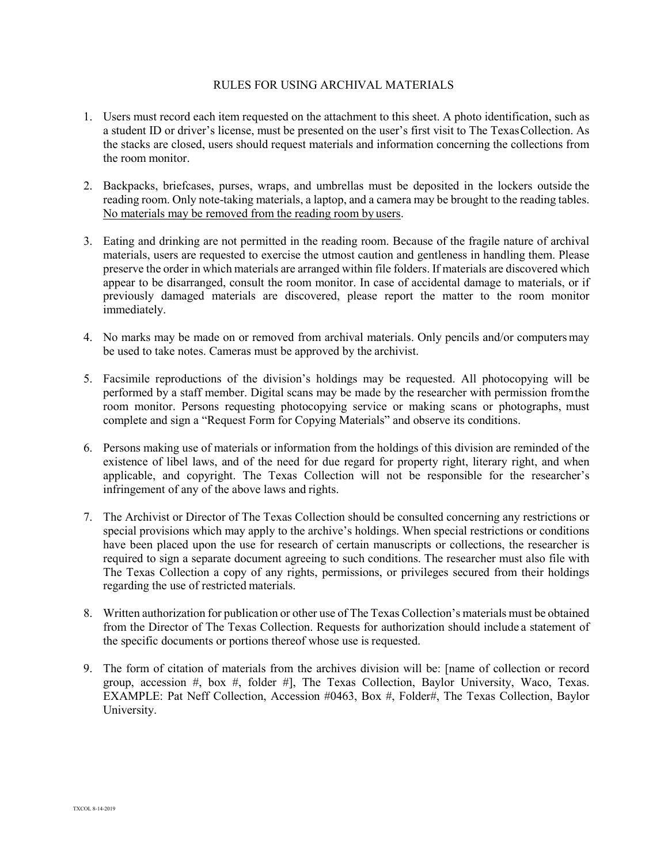## RULES FOR USING ARCHIVAL MATERIALS

- 1. Users must record each item requested on the attachment to this sheet. A photo identification, such as a student ID or driver's license, must be presented on the user's first visit to The TexasCollection. As the stacks are closed, users should request materials and information concerning the collections from the room monitor.
- 2. Backpacks, briefcases, purses, wraps, and umbrellas must be deposited in the lockers outside the reading room. Only note-taking materials, a laptop, and a camera may be brought to the reading tables. No materials may be removed from the reading room by users.
- 3. Eating and drinking are not permitted in the reading room. Because of the fragile nature of archival materials, users are requested to exercise the utmost caution and gentleness in handling them. Please preserve the order in which materials are arranged within file folders. If materials are discovered which appear to be disarranged, consult the room monitor. In case of accidental damage to materials, or if previously damaged materials are discovered, please report the matter to the room monitor immediately.
- 4. No marks may be made on or removed from archival materials. Only pencils and/or computersmay be used to take notes. Cameras must be approved by the archivist.
- 5. Facsimile reproductions of the division's holdings may be requested. All photocopying will be performed by a staff member. Digital scans may be made by the researcher with permission fromthe room monitor. Persons requesting photocopying service or making scans or photographs, must complete and sign a "Request Form for Copying Materials" and observe its conditions.
- 6. Persons making use of materials or information from the holdings of this division are reminded of the existence of libel laws, and of the need for due regard for property right, literary right, and when applicable, and copyright. The Texas Collection will not be responsible for the researcher's infringement of any of the above laws and rights.
- 7. The Archivist or Director of The Texas Collection should be consulted concerning any restrictions or special provisions which may apply to the archive's holdings. When special restrictions or conditions have been placed upon the use for research of certain manuscripts or collections, the researcher is required to sign a separate document agreeing to such conditions. The researcher must also file with The Texas Collection a copy of any rights, permissions, or privileges secured from their holdings regarding the use of restricted materials.
- 8. Written authorization for publication or other use of The Texas Collection's materials must be obtained from the Director of The Texas Collection. Requests for authorization should include a statement of the specific documents or portions thereof whose use is requested.
- 9. The form of citation of materials from the archives division will be: [name of collection or record group, accession  $\#$ , box  $\#$ , folder  $\#$ , The Texas Collection, Baylor University, Waco, Texas. EXAMPLE: Pat Neff Collection, Accession #0463, Box #, Folder#, The Texas Collection, Baylor University.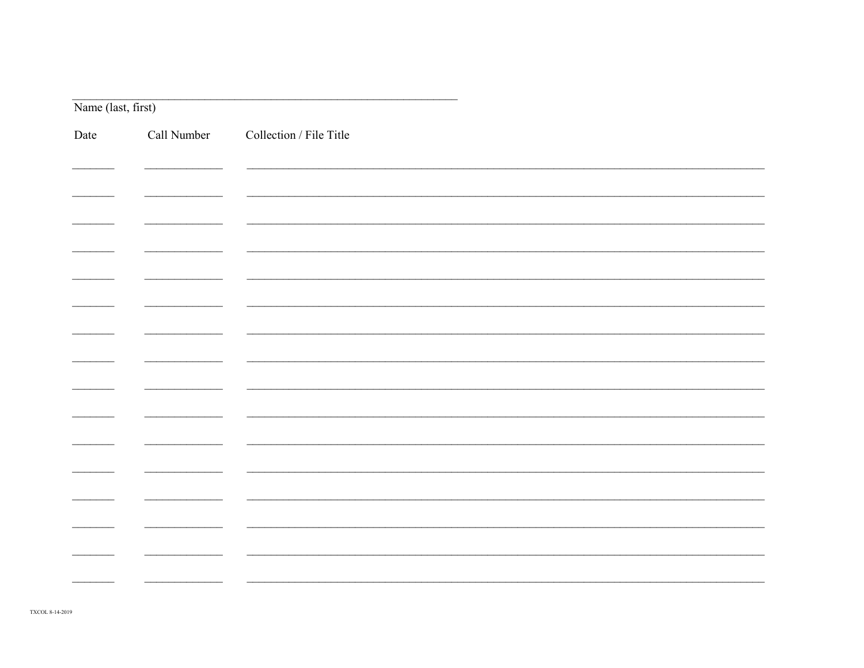|      | Name (last, first) |                         |  |
|------|--------------------|-------------------------|--|
| Date | Call Number        | Collection / File Title |  |
|      |                    |                         |  |
|      |                    |                         |  |
|      |                    |                         |  |
|      |                    |                         |  |
|      |                    |                         |  |
|      |                    |                         |  |
|      |                    |                         |  |
|      |                    |                         |  |
|      |                    |                         |  |
|      |                    |                         |  |
|      |                    |                         |  |
|      |                    |                         |  |
|      |                    |                         |  |
|      |                    |                         |  |
|      |                    |                         |  |
|      |                    |                         |  |